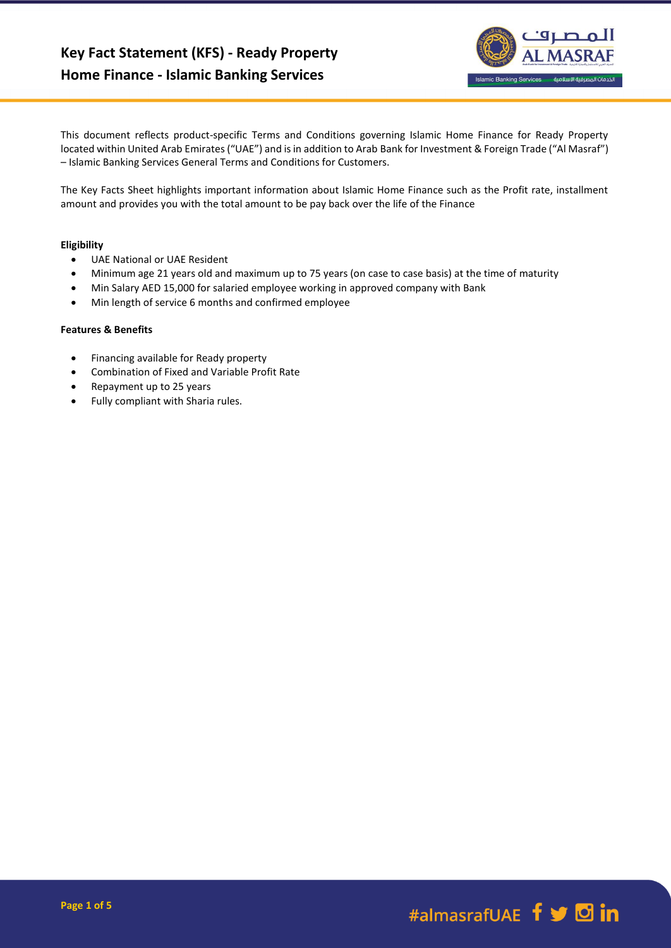

This document reflects product-specific Terms and Conditions governing Islamic Home Finance for Ready Property located within United Arab Emirates ("UAE") and is in addition to Arab Bank for Investment & Foreign Trade ("Al Masraf") – Islamic Banking Services General Terms and Conditions for Customers.

The Key Facts Sheet highlights important information about Islamic Home Finance such as the Profit rate, installment amount and provides you with the total amount to be pay back over the life of the Finance

# **Eligibility**

- UAE National or UAE Resident
- Minimum age 21 years old and maximum up to 75 years (on case to case basis) at the time of maturity
- Min Salary AED 15,000 for salaried employee working in approved company with Bank
- Min length of service 6 months and confirmed employee

## **Features & Benefits**

- Financing available for Ready property
- Combination of Fixed and Variable Profit Rate
- Repayment up to 25 years
- Fully compliant with Sharia rules.

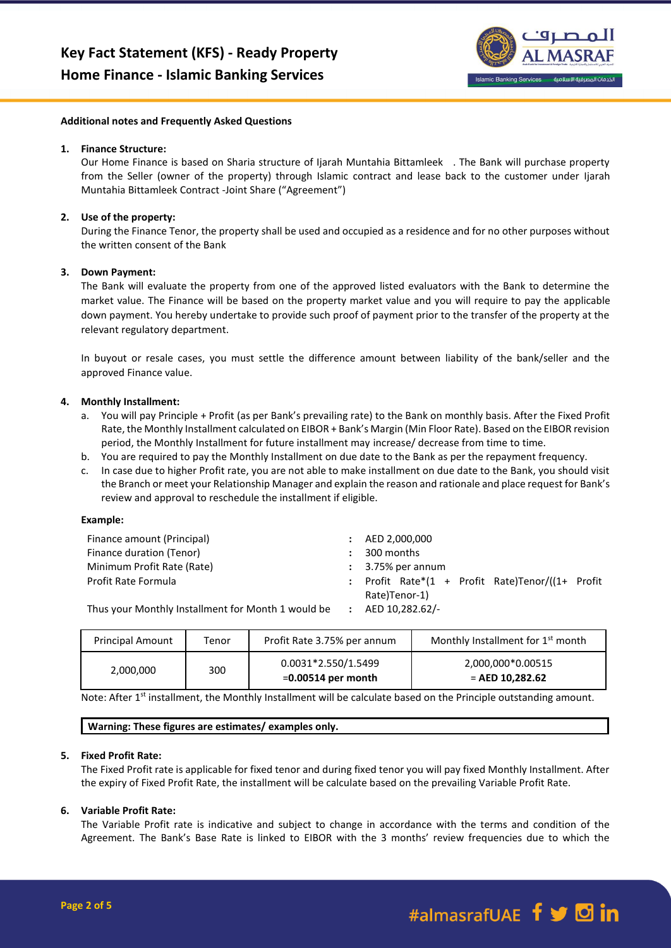

#### **Additional notes and Frequently Asked Questions**

#### **1. Finance Structure:**

Our Home Finance is based on Sharia structure of Ijarah Muntahia Bittamleek . The Bank will purchase property from the Seller (owner of the property) through Islamic contract and lease back to the customer under Ijarah Muntahia Bittamleek Contract -Joint Share ("Agreement")

### **2. Use of the property:**

During the Finance Tenor, the property shall be used and occupied as a residence and for no other purposes without the written consent of the Bank

### **3. Down Payment:**

The Bank will evaluate the property from one of the approved listed evaluators with the Bank to determine the market value. The Finance will be based on the property market value and you will require to pay the applicable down payment. You hereby undertake to provide such proof of payment prior to the transfer of the property at the relevant regulatory department.

In buyout or resale cases, you must settle the difference amount between liability of the bank/seller and the approved Finance value.

### **4. Monthly Installment:**

- a. You will pay Principle + Profit (as per Bank's prevailing rate) to the Bank on monthly basis. After the Fixed Profit Rate, the Monthly Installment calculated on EIBOR + Bank's Margin (Min Floor Rate). Based on the EIBOR revision period, the Monthly Installment for future installment may increase/ decrease from time to time.
- b. You are required to pay the Monthly Installment on due date to the Bank as per the repayment frequency.
- c. In case due to higher Profit rate, you are not able to make installment on due date to the Bank, you should visit the Branch or meet your Relationship Manager and explain the reason and rationale and place request for Bank's review and approval to reschedule the installment if eligible.

#### **Example:**

| Finance amount (Principal)                         | $\ddot{\phantom{0}}$ | AED 2,000,000                                          |  |
|----------------------------------------------------|----------------------|--------------------------------------------------------|--|
| Finance duration (Tenor)                           |                      | 300 months                                             |  |
| Minimum Profit Rate (Rate)                         |                      | $\therefore$ 3.75% per annum                           |  |
| Profit Rate Formula                                |                      | : Profit Rate* $(1 +$ Profit Rate)Tenor/ $(1 +$ Profit |  |
|                                                    |                      | Rate)Tenor-1)                                          |  |
| Thus your Monthly Installment for Month 1 would be |                      | AED 10.282.62/-                                        |  |

Thus your Monthly Installment for Month 1 would be **:** AED 10,282.62/-

| <b>Principal Amount</b> | Tenor | Profit Rate 3.75% per annum                 | Monthly Installment for 1 <sup>st</sup> month |
|-------------------------|-------|---------------------------------------------|-----------------------------------------------|
| 2,000,000               | 300   | 0.0031*2.550/1.5499<br>$=0.00514$ per month | 2,000,000*0.00515<br>$=$ AED 10.282.62        |

Note: After 1<sup>st</sup> installment, the Monthly Installment will be calculate based on the Principle outstanding amount.

### **Warning: These figures are estimates/ examples only.**

## **5. Fixed Profit Rate:**

The Fixed Profit rate is applicable for fixed tenor and during fixed tenor you will pay fixed Monthly Installment. After the expiry of Fixed Profit Rate, the installment will be calculate based on the prevailing Variable Profit Rate.

### **6. Variable Profit Rate:**

The Variable Profit rate is indicative and subject to change in accordance with the terms and condition of the Agreement. The Bank's Base Rate is linked to EIBOR with the 3 months' review frequencies due to which the

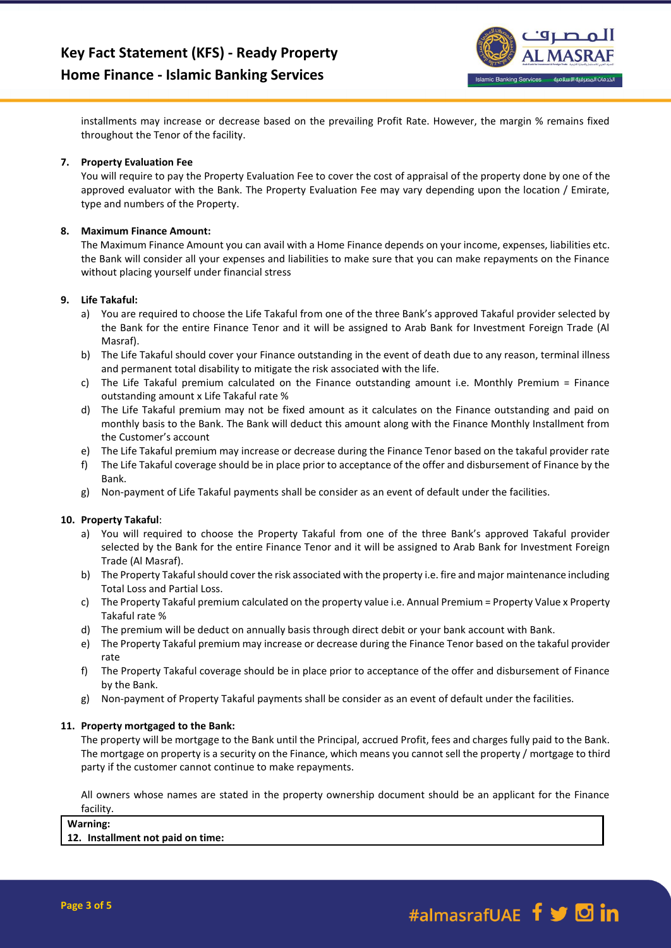

installments may increase or decrease based on the prevailing Profit Rate. However, the margin % remains fixed throughout the Tenor of the facility.

# **7. Property Evaluation Fee**

You will require to pay the Property Evaluation Fee to cover the cost of appraisal of the property done by one of the approved evaluator with the Bank. The Property Evaluation Fee may vary depending upon the location / Emirate, type and numbers of the Property.

## **8. Maximum Finance Amount:**

The Maximum Finance Amount you can avail with a Home Finance depends on your income, expenses, liabilities etc. the Bank will consider all your expenses and liabilities to make sure that you can make repayments on the Finance without placing yourself under financial stress

### **9. Life Takaful:**

- a) You are required to choose the Life Takaful from one of the three Bank's approved Takaful provider selected by the Bank for the entire Finance Tenor and it will be assigned to Arab Bank for Investment Foreign Trade (Al Masraf).
- b) The Life Takaful should cover your Finance outstanding in the event of death due to any reason, terminal illness and permanent total disability to mitigate the risk associated with the life.
- c) The Life Takaful premium calculated on the Finance outstanding amount i.e. Monthly Premium = Finance outstanding amount x Life Takaful rate %
- d) The Life Takaful premium may not be fixed amount as it calculates on the Finance outstanding and paid on monthly basis to the Bank. The Bank will deduct this amount along with the Finance Monthly Installment from the Customer's account
- e) The Life Takaful premium may increase or decrease during the Finance Tenor based on the takaful provider rate
- f) The Life Takaful coverage should be in place prior to acceptance of the offer and disbursement of Finance by the Bank.
- g) Non-payment of Life Takaful payments shall be consider as an event of default under the facilities.

# **10. Property Takaful**:

- a) You will required to choose the Property Takaful from one of the three Bank's approved Takaful provider selected by the Bank for the entire Finance Tenor and it will be assigned to Arab Bank for Investment Foreign Trade (Al Masraf).
- b) The Property Takaful should cover the risk associated with the property i.e. fire and major maintenance including Total Loss and Partial Loss.
- c) The Property Takaful premium calculated on the property value i.e. Annual Premium = Property Value x Property Takaful rate %
- d) The premium will be deduct on annually basis through direct debit or your bank account with Bank.
- e) The Property Takaful premium may increase or decrease during the Finance Tenor based on the takaful provider rate
- f) The Property Takaful coverage should be in place prior to acceptance of the offer and disbursement of Finance by the Bank.
- g) Non-payment of Property Takaful payments shall be consider as an event of default under the facilities.

### **11. Property mortgaged to the Bank:**

The property will be mortgage to the Bank until the Principal, accrued Profit, fees and charges fully paid to the Bank. The mortgage on property is a security on the Finance, which means you cannot sell the property / mortgage to third party if the customer cannot continue to make repayments.

All owners whose names are stated in the property ownership document should be an applicant for the Finance facility.

**Warning:**

### **12. Installment not paid on time:**

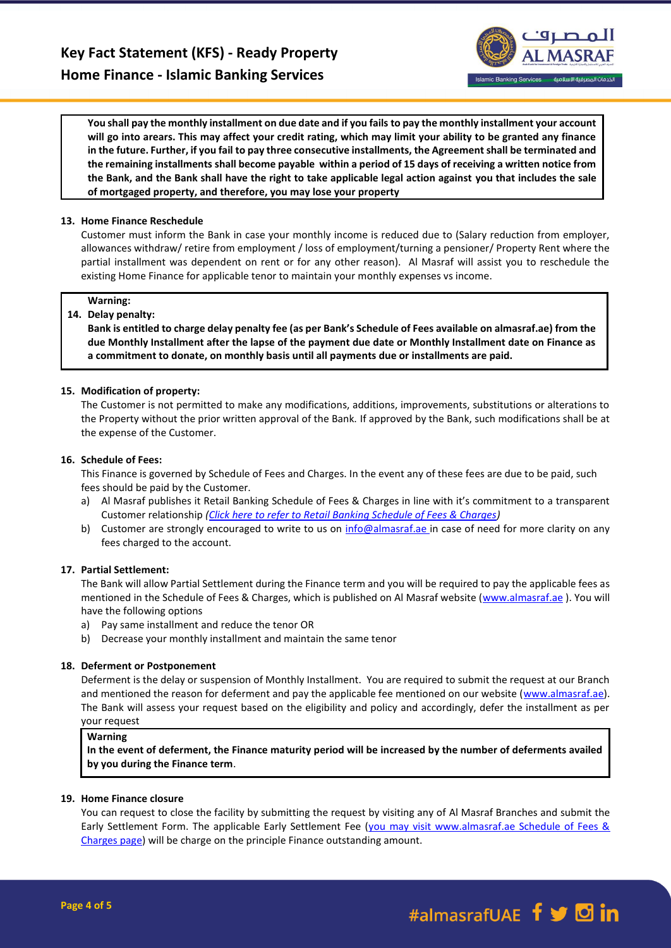

**You shall pay the monthly installment on due date and if you fails to pay the monthly installment your account will go into arears. This may affect your credit rating, which may limit your ability to be granted any finance in the future. Further, if you fail to pay three consecutive installments, the Agreement shall be terminated and the remaining installments shall become payable within a period of 15 days of receiving a written notice from the Bank, and the Bank shall have the right to take applicable legal action against you that includes the sale of mortgaged property, and therefore, you may lose your property**

## **13. Home Finance Reschedule**

Customer must inform the Bank in case your monthly income is reduced due to (Salary reduction from employer, allowances withdraw/ retire from employment / loss of employment/turning a pensioner/ Property Rent where the partial installment was dependent on rent or for any other reason). Al Masraf will assist you to reschedule the existing Home Finance for applicable tenor to maintain your monthly expenses vs income.

### **Warning:**

### **14. Delay penalty:**

**Bank is entitled to charge delay penalty fee (as per Bank's Schedule of Fees available on almasraf.ae) from the due Monthly Installment after the lapse of the payment due date or Monthly Installment date on Finance as a commitment to donate, on monthly basis until all payments due or installments are paid.** 

### **15. Modification of property:**

The Customer is not permitted to make any modifications, additions, improvements, substitutions or alterations to the Property without the prior written approval of the Bank. If approved by the Bank, such modifications shall be at the expense of the Customer.

### **16. Schedule of Fees:**

This Finance is governed by Schedule of Fees and Charges. In the event any of these fees are due to be paid, such fees should be paid by the Customer.

- a) Al Masraf publishes it Retail Banking Schedule of Fees & Charges in line with it's commitment to a transparent Customer relationship *[\(Click here to refer to Retail Banking Schedule of Fees & Charges\)](https://almasraf.ae/schedule-of-charges/)*
- b) Customer are strongly encouraged to write to us on [info@almasraf.ae](mailto:info@almasraf.ae) in case of need for more clarity on any fees charged to the account.

### **17. Partial Settlement:**

The Bank will allow Partial Settlement during the Finance term and you will be required to pay the applicable fees as mentioned in the Schedule of Fees & Charges, which is published on Al Masraf website [\(www.almasraf.ae](http://www.almasraf.ae/)). You will have the following options

- a) Pay same installment and reduce the tenor OR
- b) Decrease your monthly installment and maintain the same tenor

### **18. Deferment or Postponement**

Deferment is the delay or suspension of Monthly Installment. You are required to submit the request at our Branch and mentioned the reason for deferment and pay the applicable fee mentioned on our website [\(www.almasraf.ae\)](http://www.almasraf.ae/). The Bank will assess your request based on the eligibility and policy and accordingly, defer the installment as per your request

### **Warning**

**In the event of deferment, the Finance maturity period will be increased by the number of deferments availed by you during the Finance term**.

### **19. Home Finance closure**

You can request to close the facility by submitting the request by visiting any of Al Masraf Branches and submit the Early Settlement Form. The applicable Early Settlement Fee (you may visit www.almasraf.ae Schedule of Fees & Charges page) will be charge on the principle Finance outstanding amount.